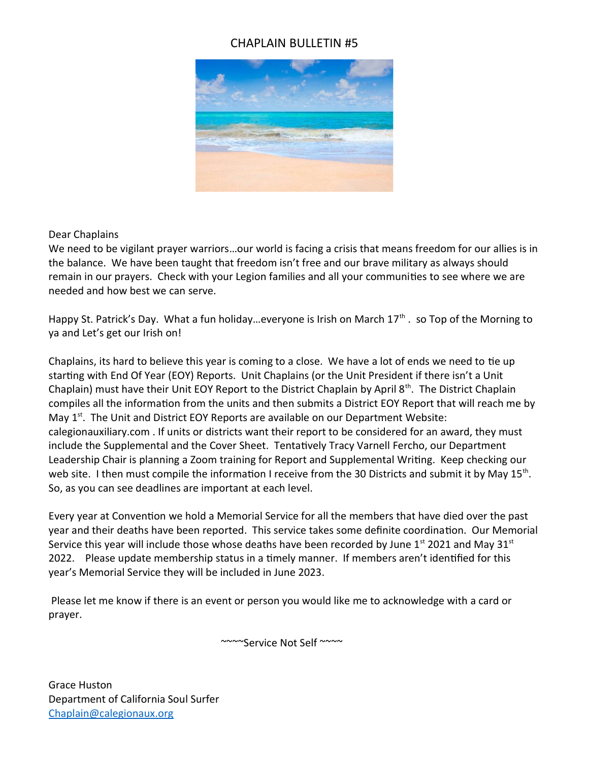## CHAPLAIN BULLETIN #5



## Dear Chaplains

We need to be vigilant prayer warriors…our world is facing a crisis that means freedom for our allies is in the balance. We have been taught that freedom isn't free and our brave military as always should remain in our prayers. Check with your Legion families and all your communities to see where we are needed and how best we can serve.

Happy St. Patrick's Day. What a fun holiday...everyone is Irish on March  $17<sup>th</sup>$ . so Top of the Morning to ya and Let's get our Irish on!

Chaplains, its hard to believe this year is coming to a close. We have a lot of ends we need to tie up starting with End Of Year (EOY) Reports. Unit Chaplains (or the Unit President if there isn't a Unit Chaplain) must have their Unit EOY Report to the District Chaplain by April  $8<sup>th</sup>$ . The District Chaplain compiles all the information from the units and then submits a District EOY Report that will reach me by May  $1<sup>st</sup>$ . The Unit and District EOY Reports are available on our Department Website: calegionauxiliary.com . If units or districts want their report to be considered for an award, they must include the Supplemental and the Cover Sheet. Tentatively Tracy Varnell Fercho, our Department Leadership Chair is planning a Zoom training for Report and Supplemental Writing. Keep checking our web site. I then must compile the information I receive from the 30 Districts and submit it by May  $15<sup>th</sup>$ . So, as you can see deadlines are important at each level.

Every year at Convention we hold a Memorial Service for all the members that have died over the past year and their deaths have been reported. This service takes some definite coordination. Our Memorial Service this year will include those whose deaths have been recorded by June  $1<sup>st</sup>$  2021 and May 31 $<sup>st</sup>$ </sup> 2022. Please update membership status in a timely manner. If members aren't identified for this year's Memorial Service they will be included in June 2023.

 Please let me know if there is an event or person you would like me to acknowledge with a card or prayer.

~~~~Service Not Self ~~~~

Grace Huston Department of California Soul Surfer Chaplain@calegionaux.org